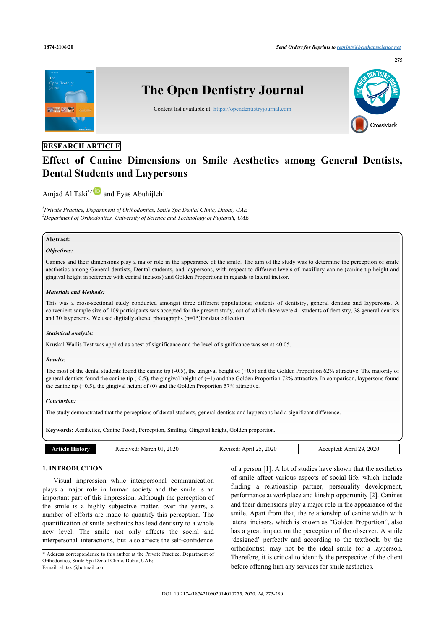

## **RESEARCH ARTICLE**

# **Effect of Canine Dimensions on Smile Aesthetics among General Dentists, Dental Students and Laypersons**

Amjad Al Taki<sup>1,\*</sup> **D** and Eyas Abuhijleh<sup>2</sup>

*1 Private Practice, Department of Orthodontics, Smile Spa Dental Clinic, Dubai, UAE <sup>2</sup>Department of Orthodontics, University of Science and Technology of Fujiarah, UAE*

## **Abstract:**

### *Objectives:*

Canines and their dimensions play a major role in the appearance of the smile. The aim of the study was to determine the perception of smile aesthetics among General dentists, Dental students, and laypersons, with respect to different levels of maxillary canine (canine tip height and gingival height in reference with central incisors) and Golden Proportions in regards to lateral incisor.

## *Materials and Methods:*

This was a cross-sectional study conducted amongst three different populations; students of dentistry, general dentists and laypersons. A convenient sample size of 109 participants was accepted for the present study, out of which there were 41 students of dentistry, 38 general dentists and 30 laypersons. We used digitally altered photographs (n=15)for data collection.

### *Statistical analysis:*

Kruskal Wallis Test was applied as a test of significance and the level of significance was set at <0.05.

## *Results:*

The most of the dental students found the canine tip (-0.5), the gingival height of (+0.5) and the Golden Proportion 62% attractive. The majority of general dentists found the canine tip (-0.5), the gingival height of (+1) and the Golden Proportion 72% attractive. In comparison, laypersons found the canine tip  $(+0.5)$ , the gingival height of  $(0)$  and the Golden Proportion 57% attractive.

## *Conclusion:*

The study demonstrated that the perceptions of dental students, general dentists and laypersons had a significant difference.

**Keywords:** Aesthetics, Canine Tooth, Perception, Smiling, Gingival height, Golden proportion.

| mr | 2020<br>March<br>ceived | 2020<br>Anril<br>vised<br>Ke <sup>v</sup> | 2020<br>$\sim$<br>Anril<br>יות<br>ΑC |
|----|-------------------------|-------------------------------------------|--------------------------------------|
|    |                         |                                           |                                      |

## **1. INTRODUCTION**

Visual impression while interpersonal communication plays a major role in human society and the smile is an important part of this impression. Although the perception of the smile is a highly subjective matter, over the years, a number of efforts are made to quantify this perception. The quantification of smile aesthetics has lead dentistry to a whole new level. The smile not only affects the social and interpersonal interactions, but also affects the self-confidence

of a person [1]. A lot of studies have shown that the aesthetics of smile affect various aspects of social life, which include finding a relationship partner, personality development, performance at workplace and kinship opportunity [2]. Canines and their dimensions play a major role in the appearance of the smile. Apart from that, the relationship of canine width with lateral incisors, which is known as "Golden Proportion", also has a great impact on the perception of the observer. A smile 'designed' perfectly and according to the textbook, by the orthodontist, may not be the ideal smile for a layperson. Therefore, it is critical to identify the perspective of the client before offering him any services for smile aesthetics.

<sup>\*</sup> Address correspondence to this author at the Private Practice, Department of Orthodontics, Smile Spa Dental Clinic, Dubai, UAE;

E-mail: al\_taki@hotmail.com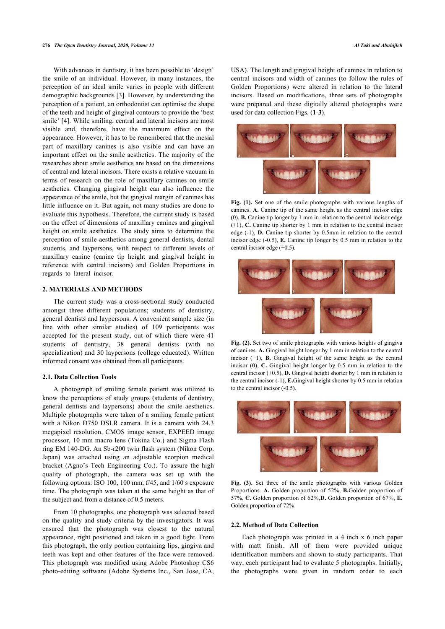#### **276** *The Open Dentistry Journal, 2020, Volume 14 Al Taki and Abuhijleh*

With advances in dentistry, it has been possible to 'design' the smile of an individual. However, in many instances, the perception of an ideal smile varies in people with different demographic backgrounds [3]. However, by understanding the perception of a patient, an orthodontist can optimise the shape of the teeth and height of gingival contours to provide the 'best smile' [4]. While smiling, central and lateral incisors are most visible and, therefore, have the maximum effect on the appearance. However, it has to be remembered that the mesial part of maxillary canines is also visible and can have an important effect on the smile aesthetics. The majority of the researches about smile aesthetics are based on the dimensions of central and lateral incisors. There exists a relative vacuum in terms of research on the role of maxillary canines on smile aesthetics. Changing gingival height can also influence the appearance of the smile, but the gingival margin of canines has little influence on it. But again, not many studies are done to evaluate this hypothesis. Therefore, the current study is based on the effect of dimensions of maxillary canines and gingival height on smile aesthetics. The study aims to determine the perception of smile aesthetics among general dentists, dental students, and laypersons, with respect to different levels of maxillary canine (canine tip height and gingival height in reference with central incisors) and Golden Proportions in regards to lateral incisor.

## **2. MATERIALS AND METHODS**

The current study was a cross-sectional study conducted amongst three different populations; students of dentistry, general dentists and laypersons. A convenient sample size (in line with other similar studies) of 109 participants was accepted for the present study, out of which there were 41 students of dentistry, 38 general dentists (with no specialization) and 30 laypersons (college educated). Written informed consent was obtained from all participants.

#### **2.1. Data Collection Tools**

A photograph of smiling female patient was utilized to know the perceptions of study groups (students of dentistry, general dentists and laypersons) about the smile aesthetics. Multiple photographs were taken of a smiling female patient with a Nikon D750 DSLR camera. It is a camera with 24.3 megapixel resolution, CMOS image sensor, EXPEED image processor, 10 mm macro lens (Tokina Co.) and Sigma Flash ring EM 140-DG. An Sb-r200 twin flash system (Nikon Corp. Japan) was attached using an adjustable scorpion medical bracket (Agno's Tech Engineering Co.). To assure the high quality of photograph, the camera was set up with the following options: ISO 100, 100 mm, f/45, and 1/60 s exposure time. The photograph was taken at the same height as that of the subject and from a distance of 0.5 meters.

From 10 photographs, one photograph was selected based on the quality and study criteria by the investigators. It was ensured that the photograph was closest to the natural appearance, right positioned and taken in a good light. From this photograph, the only portion containing lips, gingiva and teeth was kept and other features of the face were removed. This photograph was modified using Adobe Photoshop CS6 photo-editing software (Adobe Systems Inc., San Jose, CA, USA). The length and gingival height of canines in relation to central incisors and width of canines (to follow the rules of Golden Proportions) were altered in relation to the lateral incisors. Based on modifications, three sets of photographs were prepared and these digitally altered photographs were used for data collection Figs. (**1**-**3**).



**Fig. (1).** Set one of the smile photographs with various lengths of canines. **A.** Canine tip of the same height as the central incisor edge (0), **B.** Canine tip longer by 1 mm in relation to the central incisor edge (+1), **C.** Canine tip shorter by 1 mm in relation to the central incisor edge (-1), **D.** Canine tip shorter by 0.5mm in relation to the central incisor edge (-0.5), **E.** Canine tip longer by 0.5 mm in relation to the central incisor edge (+0.5).



**Fig. (2).** Set two of smile photographs with various heights of gingiva of canines. **A.** Gingival height longer by 1 mm in relation to the central incisor  $(+1)$ , **B.** Gingival height of the same height as the central incisor (0), **C.** Gingival height longer by 0.5 mm in relation to the central incisor (+0.5), **D.** Gingival height shorter by 1 mm in relation to the central incisor (-1), **E.**Gingival height shorter by 0.5 mm in relation to the central incisor (-0.5).



**Fig. (3).** Set three of the smile photographs with various Golden Proportions. **A.** Golden proportion of 52%, **B.**Golden proportion of 57%, **C.** Golden proportion of 62%,**D.** Golden proportion of 67%, **E.** Golden proportion of 72%.

## **2.2. Method of Data Collection**

Each photograph was printed in a 4 inch x 6 inch paper with matt finish. All of them were provided unique identification numbers and shown to study participants. That way, each participant had to evaluate 5 photographs. Initially, the photographs were given in random order to each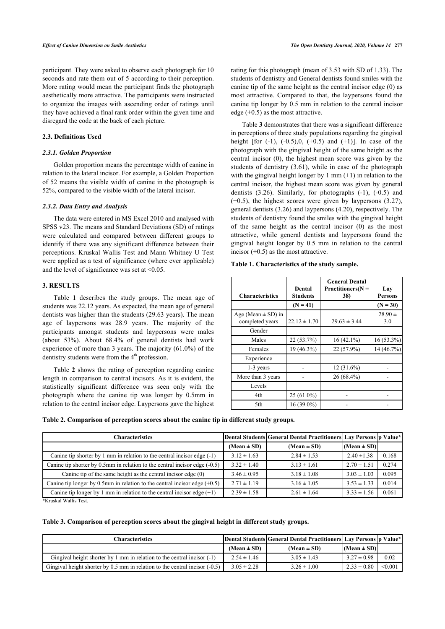participant. They were asked to observe each photograph for 10 seconds and rate them out of 5 according to their perception. More rating would mean the participant finds the photograph aesthetically more attractive. The participants were instructed to organize the images with ascending order of ratings until they have achieved a final rank order within the given time and disregard the code at the back of each picture.

## **2.3. Definitions Used**

### *2.3.1. Golden Proportion*

Golden proportion means the percentage width of canine in relation to the lateral incisor. For example, a Golden Proportion of 52 means the visible width of canine in the photograph is 52%, compared to the visible width of the lateral incisor.

#### *2.3.2. Data Entry and Analysis*

The data were entered in MS Excel 2010 and analysed with SPSS v23. The means and Standard Deviations (SD) of ratings were calculated and compared between different groups to identify if there was any significant difference between their perceptions. Kruskal Wallis Test and Mann Whitney U Test were applied as a test of significance (where ever applicable) and the level of significance was set at  $\leq 0.05$ .

## **3. RESULTS**

Table **1** describes the study groups. The mean age of students was 22.12 years. As expected, the mean age of general dentists was higher than the students (29.63 years). The mean age of laypersons was 28.9 years. The majority of the participants amongst students and laypersons were males (about 53%). About 68.4% of general dentists had work experience of more than 3 years. The majority (61.0%) of the dentistry students were from the  $4<sup>th</sup>$  profession.

Table **2** shows the rating of perception regarding canine length in comparison to central incisors. As it is evident, the statistically significant difference was seen only with the photograph where the canine tip was longer by 0.5mm in relation to the central incisor edge. Laypersons gave the highest rating for this photograph (mean of 3.53 with SD of 1.33). The students of dentistry and General dentists found smiles with the canine tip of the same height as the central incisor edge (0) as most attractive. Compared to that, the laypersons found the canine tip longer by 0.5 mm in relation to the central incisor edge  $(+0.5)$  as the most attractive.

Table **3** demonstrates that there was a significant difference in perceptions of three study populations regarding the gingival height [for  $(-1)$ ,  $(-0.5)$ ,  $(0.5)$  and  $(+1)$ ]. In case of the photograph with the gingival height of the same height as the central incisor (0), the highest mean score was given by the students of dentistry (3.61), while in case of the photograph with the gingival height longer by 1 mm  $(+1)$  in relation to the central incisor, the highest mean score was given by general dentists (3.26). Similarly, for photographs (-1), (-0.5) and  $(+0.5)$ , the highest scores were given by laypersons  $(3.27)$ , general dentists (3.26) and laypersons (4.20), respectively. The students of dentistry found the smiles with the gingival height of the same height as the central incisor (0) as the most attractive, while general dentists and laypersons found the gingival height longer by 0.5 mm in relation to the central incisor  $(+0.5)$  as the most attractive.

| <b>Characteristics</b>                    | Dental<br><b>Students</b> | <b>General Dental</b><br>$Practitioners(N =$<br>38) | Lay<br><b>Persons</b> |
|-------------------------------------------|---------------------------|-----------------------------------------------------|-----------------------|
|                                           | $(N = 41)$                |                                                     | $(N = 30)$            |
| Age (Mean $\pm$ SD) in<br>completed years | $22.12 \pm 1.70$          | $29.63 \pm 3.44$                                    | $28.90 \pm$<br>3.0    |
| Gender                                    |                           |                                                     |                       |
| Males                                     | 22 (53.7%)                | $16(42.1\%)$                                        | 16 (53.3%)            |
| Females                                   | 19 (46.3%)                | 22 (57.9%)                                          | 14 (46.7%)            |
| Experience                                |                           |                                                     |                       |
| 1-3 years                                 |                           | $12(31.6\%)$                                        |                       |
| More than 3 years                         |                           | 26 (68.4%)                                          |                       |
| Levels                                    |                           |                                                     |                       |
| 4th                                       | $25(61.0\%)$              |                                                     |                       |
| 5th                                       | $16(39.0\%)$              |                                                     |                       |

#### **Table 1. Characteristics of the study sample.**

|  |  |  | Table 2. Comparison of perception scores about the canine tip in different study groups. |
|--|--|--|------------------------------------------------------------------------------------------|
|  |  |  |                                                                                          |

| <b>Characteristics</b>                                                          |                 | Dental Students  General Dental Practitioners  Lay Persons  p Value* |                 |       |
|---------------------------------------------------------------------------------|-----------------|----------------------------------------------------------------------|-----------------|-------|
|                                                                                 | $(Mean \pm SD)$ | $(Mean \pm SD)$                                                      | $(Mean \pm SD)$ |       |
| Canine tip shorter by 1 mm in relation to the central incisor edge $(-1)$       | $3.12 \pm 1.63$ | $2.84 \pm 1.53$                                                      | $2.40 \pm 1.38$ | 0.168 |
| Canine tip shorter by $0.5$ mm in relation to the central incisor edge $(-0.5)$ | $3.32 \pm 1.40$ | $3.13 \pm 1.61$                                                      | $2.70 \pm 1.51$ | 0.274 |
| Canine tip of the same height as the central incisor edge $(0)$                 | $3.46 \pm 0.95$ | $3.18 \pm 1.08$                                                      | $3.03 \pm 1.03$ | 0.095 |
| Canine tip longer by 0.5mm in relation to the central incisor edge $(+0.5)$     | $2.71 \pm 1.19$ | $3.16 \pm 1.05$                                                      | $3.53 \pm 1.33$ | 0.014 |
| Canine tip longer by 1 mm in relation to the central incisor edge $(+1)$        | $2.39 \pm 1.58$ | $2.61 \pm 1.64$                                                      | $3.33 \pm 1.56$ | 0.061 |

\*Kruskal Wallis Test.

**Table 3. Comparison of perception scores about the gingival height in different study groups.**

| <b>Characteristics</b>                                                          |                 | Dental Students  General Dental Practitioners  Lay Persons  p Value* |                 |         |
|---------------------------------------------------------------------------------|-----------------|----------------------------------------------------------------------|-----------------|---------|
|                                                                                 | (Mean $\pm$ SD) | $(Mean \pm SD)$                                                      | $(Mean \pm SD)$ |         |
| Gingival height shorter by 1 mm in relation to the central incisor $(-1)$       | $2.54 \pm 1.46$ | $3.05 \pm 1.43$                                                      | $3.27 \pm 0.98$ | 0.02    |
| Gingival height shorter by $0.5$ mm in relation to the central incisor $(-0.5)$ | $3.05 \pm 2.28$ | $3.26 \pm 1.00$                                                      | $2.33 \pm 0.80$ | < 0.001 |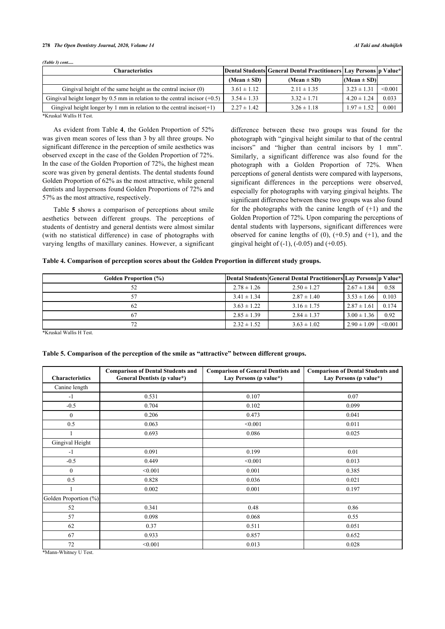#### **278** *The Open Dentistry Journal, 2020, Volume 14 Al Taki and Abuhijleh*

*(Table 3) cont.....*

| <b>Characteristics</b>                                                       |                 | Dental Students  General Dental Practitioners  Lay Persons  p Value* |                 |         |
|------------------------------------------------------------------------------|-----------------|----------------------------------------------------------------------|-----------------|---------|
|                                                                              | $(Mean \pm SD)$ | $(Mean \pm SD)$                                                      | $(Mean \pm SD)$ |         |
| Gingival height of the same height as the central incisor $(0)$              | $3.61 \pm 1.12$ | $2.11 \pm 1.35$                                                      | $3.23 \pm 1.31$ | < 0.001 |
| Gingival height longer by 0.5 mm in relation to the central incisor $(+0.5)$ | $3.54 \pm 1.33$ | $3.32 \pm 1.71$                                                      | $4.20 \pm 1.24$ | 0.033   |
| Gingival height longer by 1 mm in relation to the central incisor( $+1$ )    | $2.27 \pm 1.42$ | $3.26 \pm 1.18$                                                      | $1.97 \pm 1.52$ | 0.001   |

\*Kruskal Wallis H Test.

As evident from Table **4**, the Golden Proportion of 52% was given mean scores of less than 3 by all three groups. No significant difference in the perception of smile aesthetics was observed except in the case of the Golden Proportion of 72%. In the case of the Golden Proportion of 72%, the highest mean score was given by general dentists. The dental students found Golden Proportion of 62% as the most attractive, while general dentists and laypersons found Golden Proportions of 72% and 57% as the most attractive, respectively.

Table **5** shows a comparison of perceptions about smile aesthetics between different groups. The perceptions of students of dentistry and general dentists were almost similar (with no statistical difference) in case of photographs with varying lengths of maxillary canines. However, a significant difference between these two groups was found for the photograph with "gingival height similar to that of the central incisors" and "higher than central incisors by 1 mm". Similarly, a significant difference was also found for the photograph with a Golden Proportion of 72%. When perceptions of general dentists were compared with laypersons, significant differences in the perceptions were observed, especially for photographs with varying gingival heights. The significant difference between these two groups was also found for the photographs with the canine length of  $(+1)$  and the Golden Proportion of 72%. Upon comparing the perceptions of dental students with laypersons, significant differences were observed for canine lengths of  $(0)$ ,  $(+0.5)$  and  $(+1)$ , and the gingival height of  $(-1)$ ,  $(-0.05)$  and  $(+0.05)$ .

## **Table 4. Comparison of perception scores about the Golden Proportion in different study groups.**

| <b>Golden Proportion (%)</b> |                 | Dental Students General Dental Practitioners Lay Persons p Value* |                 |         |
|------------------------------|-----------------|-------------------------------------------------------------------|-----------------|---------|
|                              | $2.78 \pm 1.26$ | $2.50 \pm 1.27$                                                   | $2.67 \pm 1.84$ | 0.58    |
|                              | $3.41 \pm 1.34$ | $2.87 \pm 1.40$                                                   | $3.53 \pm 1.66$ | 0.103   |
| 62                           | $3.63 \pm 1.22$ | $3.16 \pm 1.75$                                                   | $2.87 \pm 1.61$ | 0.174   |
| 67                           | $2.85 \pm 1.39$ | $2.84 \pm 1.37$                                                   | $3.00 \pm 1.36$ | 0.92    |
|                              | $2.32 \pm 1.52$ | $3.63 \pm 1.02$                                                   | $2.90 \pm 1.09$ | < 0.001 |

\*Kruskal Wallis H Test.

| <b>Characteristics</b> | <b>Comparison of Dental Students and</b><br>General Dentists (p value*) | <b>Comparison of General Dentists and</b><br>Lay Persons (p value*) | <b>Comparison of Dental Students and</b><br>Lay Persons (p value*) |
|------------------------|-------------------------------------------------------------------------|---------------------------------------------------------------------|--------------------------------------------------------------------|
| Canine length          |                                                                         |                                                                     |                                                                    |
| $-1$                   | 0.531                                                                   | 0.107                                                               | 0.07                                                               |
| $-0.5$                 | 0.704                                                                   | 0.102                                                               | 0.099                                                              |
| $\mathbf{0}$           | 0.206                                                                   | 0.473                                                               | 0.041                                                              |
| 0.5                    | 0.063                                                                   | < 0.001                                                             | 0.011                                                              |
| 1                      | 0.693                                                                   | 0.086                                                               | 0.025                                                              |
| Gingival Height        |                                                                         |                                                                     |                                                                    |
| $-1$                   | 0.091                                                                   | 0.199                                                               | 0.01                                                               |
| $-0.5$                 | 0.449                                                                   | < 0.001                                                             | 0.013                                                              |
| $\Omega$               | < 0.001                                                                 | 0.001                                                               | 0.385                                                              |
| 0.5                    | 0.828                                                                   | 0.036                                                               | 0.021                                                              |
|                        | 0.002                                                                   | 0.001                                                               | 0.197                                                              |
| Golden Proportion (%)  |                                                                         |                                                                     |                                                                    |
| 52                     | 0.341                                                                   | 0.48                                                                | 0.86                                                               |
| 57                     | 0.098                                                                   | 0.068                                                               | 0.55                                                               |
| 62                     | 0.37                                                                    | 0.511                                                               | 0.051                                                              |
| 67                     | 0.933                                                                   | 0.857                                                               | 0.652                                                              |
| 72                     | < 0.001                                                                 | 0.013                                                               | 0.028                                                              |

#### **Table 5. Comparison of the perception of the smile as "attractive" between different groups.**

\*Mann-Whitney U Test.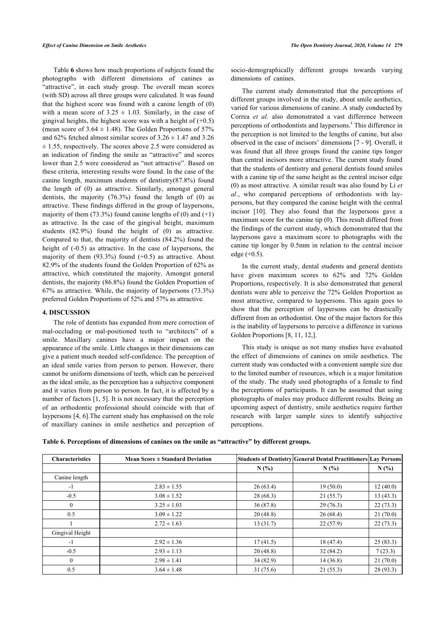Table **6** shows how much proportions of subjects found the photographs with different dimensions of canines as "attractive", in each study group. The overall mean scores (with SD) across all three groups were calculated. It was found that the highest score was found with a canine length of (0) with a mean score of  $3.25 \pm 1.03$ . Similarly, in the case of gingival heights, the highest score was with a height of  $(+0.5)$ (mean score of  $3.64 \pm 1.48$ ). The Golden Proportions of 57% and 62% fetched almost similar scores of  $3.26 \pm 1.47$  and 3.26  $\pm$  1.55, respectively. The scores above 2.5 were considered as an indication of finding the smile as "attractive" and scores lower than 2.5 were considered as "not attractive". Based on these criteria, interesting results were found. In the case of the canine length, maximum students of dentistry(87.8%) found the length of (0) as attractive. Similarly, amongst general dentists, the majority  $(76.3\%)$  found the length of  $(0)$  as attractive. These findings differed in the group of laypersons, majority of them  $(73.3\%)$  found canine lengths of  $(0)$  and  $(+1)$ as attractive. In the case of the gingival height, maximum students (82.9%) found the height of (0) as attractive. Compared to that, the majority of dentists (84.2%) found the height of (-0.5) as attractive. In the case of laypersons, the majority of them (93.3%) found (+0.5) as attractive. About 82.9% of the students found the Golden Proportion of 62% as attractive, which constituted the majority. Amongst general dentists, the majority (86.8%) found the Golden Proportion of 67% as attractive. While, the majority of laypersons (73.3%) preferred Golden Proportions of 52% and 57% as attractive.

## **4. DISCUSSION**

The role of dentists has expanded from mere correction of mal-occluding or mal-positioned teeth to "architects" of a smile. Maxillary canines have a major impact on the appearance of the smile. Little changes in their dimensions can give a patient much needed self-confidence. The perception of an ideal smile varies from person to person. However, there cannot be uniform dimensions of teeth, which can be perceived as the ideal smile, as the perception has a subjective component and it varies from person to person. In fact, it is affected by a number of factors [1, 5]. It is not necessary that the perception of an orthodontic professional should coincide with that of laypersons [4, 6].The current study has emphasised on the role of maxillary canines in smile aesthetics and perception of socio-demographically different groups towards varying dimensions of canines.

The current study demonstrated that the perceptions of different groups involved in the study, about smile aesthetics, varied for various dimensions of canine. A study conducted by Correa *et al*. also demonstrated a vast difference between perceptions of orthodontists and laypersons.<sup>4</sup> This difference in the perception is not limited to the lengths of canine, but also observed in the case of incisors' dimensions [7 - 9]. Overall, it was found that all three groups found the canine tips longer than central incisors more attractive. The current study found that the students of dentistry and general dentists found smiles with a canine tip of the same height as the central incisor edge (0) as most attractive. A similar result was also found by Li *et al*., who compared perceptions of orthodontists with laypersons, but they compared the canine height with the central incisor [10]. They also found that the laypersons gave a maximum score for the canine tip (0). This result differed from the findings of the current study, which demonstrated that the laypersons gave a maximum score to photographs with the canine tip longer by 0.5mm in relation to the central incisor edge  $(+0.5)$ .

In the current study, dental students and general dentists have given maximum scores to 62% and 72% Golden Proportions, respectively. It is also demonstrated that general dentists were able to perceive the 72% Golden Proportion as most attractive, compared to laypersons. This again goes to show that the perception of laypersons can be drastically different from an orthodontist. One of the major factors for this is the inability of laypersons to perceive a difference in various Golden Proportions [8, 11, 12,].

This study is unique as not many studies have evaluated the effect of dimensions of canines on smile aesthetics. The current study was conducted with a convenient sample size due to the limited number of resources, which is a major limitation of the study. The study used photographs of a female to find the perceptions of participants. It can be assumed that using photographs of males may produce different results. Being an upcoming aspect of dentistry, smile aesthetics require further research with larger sample sizes to identify subjective perceptions.

**Table 6. Perceptions of dimensions of canines on the smile as "attractive" by different groups.**

| <b>Characteristics</b> | <b>Mean Score <math>\pm</math> Standard Deviation</b> |           | Students of Dentistry General Dental Practitioners Lay Persons |           |
|------------------------|-------------------------------------------------------|-----------|----------------------------------------------------------------|-----------|
|                        |                                                       | N(%)      | N(%)                                                           | N(%)      |
| Canine length          |                                                       |           |                                                                |           |
| $-1$                   | $2.83 \pm 1.55$                                       | 26(63.4)  | 19(50.0)                                                       | 12(40.0)  |
| $-0.5$                 | $3.08 \pm 1.52$                                       | 28(68.3)  | 21(55.7)                                                       | 13(43.3)  |
| $\left($               | $3.25 \pm 1.03$                                       | 36(87.8)  | 29(76.3)                                                       | 22(73.3)  |
| 0.5                    | $3.09 \pm 1.22$                                       | 20(48.8)  | 26(68.4)                                                       | 21(70.0)  |
|                        | $2.72 \pm 1.63$                                       | 13(31.7)  | 22(57.9)                                                       | 22(73.3)  |
| Gingival Height        |                                                       |           |                                                                |           |
| $-1$                   | $2.92 \pm 1.36$                                       | 17(41.5)  | 18(47.4)                                                       | 25(83.3)  |
| $-0.5$                 | $2.93 \pm 1.13$                                       | 20(48.8)  | 32(84.2)                                                       | 7(23.3)   |
| $\theta$               | $2.98 \pm 1.41$                                       | 34(82.9)  | 14(36.8)                                                       | 21(70.0)  |
| 0.5                    | $3.64 \pm 1.48$                                       | 31 (75.6) | 21(55.3)                                                       | 28 (93.3) |